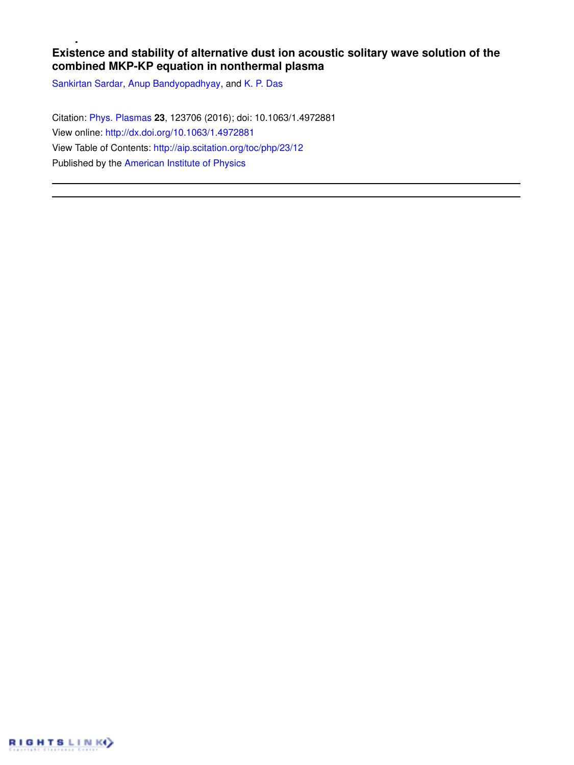# **Existence and stability of alternative dust ion acoustic solitary wave solution of the combined MKP-KP equation in nonthermal plasma**

Sankirtan Sardar, Anup Bandyopadhyay, and K. P. Das

Citation: Phys. Plasmas **23**, 123706 (2016); doi: 10.1063/1.4972881 View online: http://dx.doi.org/10.1063/1.4972881 View Table of Contents: http://aip.scitation.org/toc/php/23/12 Published by the American Institute of Physics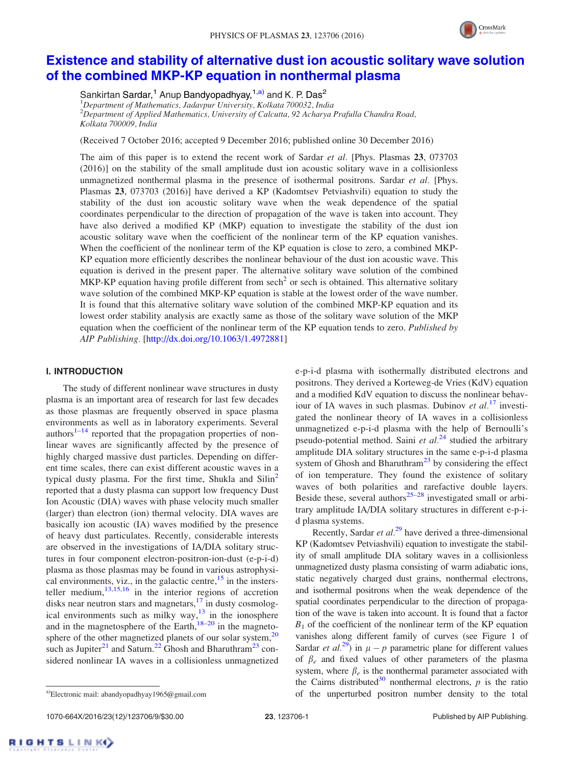

# Existence and stability of alternative dust ion acoustic solitary wave solution of the combined MKP-KP equation in nonthermal plasma

Sankirtan Sardar,<sup>1</sup> Anup Bandyopadhyay,<sup>1,a)</sup> and K. P. Das<sup>2</sup> <sup>1</sup>*Department of Mathematics, Jadavpur University, Kolkata 700032, India* <sup>2</sup>*Department of Applied Mathematics, University of Calcutta, 92 Acharya Prafulla Chandra Road, Kolkata 700009, India*

(Received 7 October 2016; accepted 9 December 2016; published online 30 December 2016)

The aim of this paper is to extend the recent work of Sardar *et al.* [Phys. Plasmas 23, 073703 (2016)] on the stability of the small amplitude dust ion acoustic solitary wave in a collisionless unmagnetized nonthermal plasma in the presence of isothermal positrons. Sardar *et al.* [Phys. Plasmas 23, 073703 (2016)] have derived a KP (Kadomtsev Petviashvili) equation to study the stability of the dust ion acoustic solitary wave when the weak dependence of the spatial coordinates perpendicular to the direction of propagation of the wave is taken into account. They have also derived a modified KP (MKP) equation to investigate the stability of the dust ion acoustic solitary wave when the coefficient of the nonlinear term of the KP equation vanishes. When the coefficient of the nonlinear term of the KP equation is close to zero, a combined MKP-KP equation more efficiently describes the nonlinear behaviour of the dust ion acoustic wave. This equation is derived in the present paper. The alternative solitary wave solution of the combined MKP-KP equation having profile different from sech<sup>2</sup> or sech is obtained. This alternative solitary wave solution of the combined MKP-KP equation is stable at the lowest order of the wave number. It is found that this alternative solitary wave solution of the combined MKP-KP equation and its lowest order stability analysis are exactly same as those of the solitary wave solution of the MKP equation when the coefficient of the nonlinear term of the KP equation tends to zero. *Published by AIP Publishing.* [http://dx.doi.org/10.1063/1.4972881]

### I. INTRODUCTION

The study of different nonlinear wave structures in dusty plasma is an important area of research for last few decades as those plasmas are frequently observed in space plasma environments as well as in laboratory experiments. Several authors $1-14$  reported that the propagation properties of nonlinear waves are significantly affected by the presence of highly charged massive dust particles. Depending on different time scales, there can exist different acoustic waves in a typical dusty plasma. For the first time, Shukla and  $\text{Silin}^2$ reported that a dusty plasma can support low frequency Dust Ion Acoustic (DIA) waves with phase velocity much smaller (larger) than electron (ion) thermal velocity. DIA waves are basically ion acoustic (IA) waves modified by the presence of heavy dust particulates. Recently, considerable interests are observed in the investigations of IA/DIA solitary structures in four component electron-positron-ion-dust (e-p-i-d) plasma as those plasmas may be found in various astrophysical environments, viz., in the galactic centre,  $15$  in the instersteller medium,  $13,15,16$  in the interior regions of accretion disks near neutron stars and magnetars, $17$  in dusty cosmological environments such as milky way, $13$  in the ionosphere and in the magnetosphere of the Earth, $18-20$  in the magnetosphere of the other magnetized planets of our solar system, $20$ such as Jupiter<sup>21</sup> and Saturn.<sup>22</sup> Ghosh and Bharuthram<sup>23</sup> considered nonlinear IA waves in a collisionless unmagnetized e-p-i-d plasma with isothermally distributed electrons and positrons. They derived a Korteweg-de Vries (KdV) equation and a modified KdV equation to discuss the nonlinear behaviour of IA waves in such plasmas. Dubinov *et al.*<sup>17</sup> investigated the nonlinear theory of IA waves in a collisionless unmagnetized e-p-i-d plasma with the help of Bernoulli's pseudo-potential method. Saini *et al.*<sup>24</sup> studied the arbitrary amplitude DIA solitary structures in the same e-p-i-d plasma system of Ghosh and Bharuthram<sup>23</sup> by considering the effect of ion temperature. They found the existence of solitary waves of both polarities and rarefactive double layers. Beside these, several authors<sup>25–28</sup> investigated small or arbitrary amplitude IA/DIA solitary structures in different e-p-id plasma systems.

Recently, Sardar *et al.*<sup>29</sup> have derived a three-dimensional KP (Kadomtsev Petviashvili) equation to investigate the stability of small amplitude DIA solitary waves in a collisionless unmagnetized dusty plasma consisting of warm adiabatic ions, static negatively charged dust grains, nonthermal electrons, and isothermal positrons when the weak dependence of the spatial coordinates perpendicular to the direction of propagation of the wave is taken into account. It is found that a factor  $B_1$  of the coefficient of the nonlinear term of the KP equation vanishes along different family of curves (see Figure 1 of Sardar *et al.*<sup>29</sup>) in  $\mu - p$  parametric plane for different values of  $\beta_e$  and fixed values of other parameters of the plasma system, where  $\beta_e$  is the nonthermal parameter associated with the Cairns distributed<sup>30</sup> nonthermal electrons,  $p$  is the ratio a)Electronic mail: abandyopadhyay1965@gmail.com of the unperturbed positron number density to the total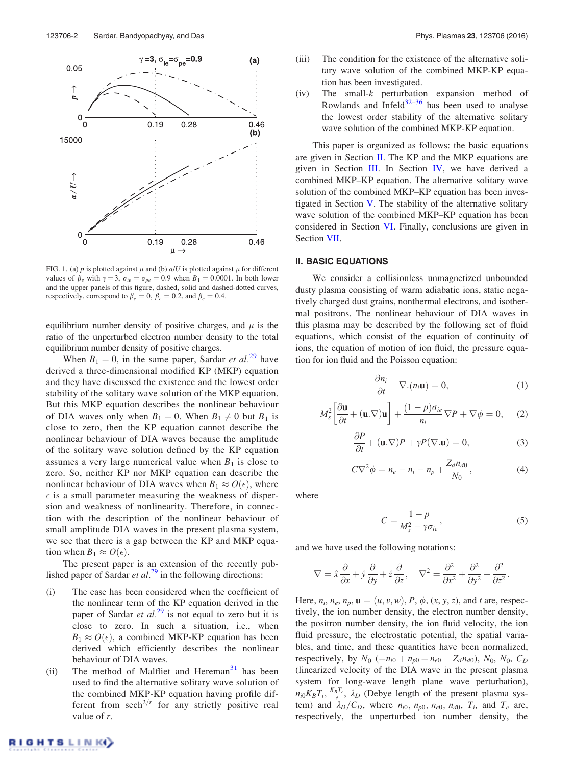

FIG. 1. (a)  $p$  is plotted against  $\mu$  and (b)  $a/U$  is plotted against  $\mu$  for different values of  $\beta_e$  with  $\gamma = 3$ ,  $\sigma_{ie} = \sigma_{pe} = 0.9$  when  $B_1 = 0.0001$ . In both lower and the upper panels of this figure, dashed, solid and dashed-dotted curves, respectively, correspond to  $\beta_e = 0$ ,  $\beta_e = 0.2$ , and  $\beta_e = 0.4$ .

equilibrium number density of positive charges, and  $\mu$  is the ratio of the unperturbed electron number density to the total equilibrium number density of positive charges.

When  $B_1 = 0$ , in the same paper, Sardar *et al.*<sup>29</sup> have derived a three-dimensional modified KP (MKP) equation and they have discussed the existence and the lowest order stability of the solitary wave solution of the MKP equation. But this MKP equation describes the nonlinear behaviour of DIA waves only when  $B_1 = 0$ . When  $B_1 \neq 0$  but  $B_1$  is close to zero, then the KP equation cannot describe the nonlinear behaviour of DIA waves because the amplitude of the solitary wave solution defined by the KP equation assumes a very large numerical value when  $B_1$  is close to zero. So, neither KP nor MKP equation can describe the nonlinear behaviour of DIA waves when  $B_1 \approx O(\epsilon)$ , where  $\epsilon$  is a small parameter measuring the weakness of dispersion and weakness of nonlinearity. Therefore, in connection with the description of the nonlinear behaviour of small amplitude DIA waves in the present plasma system, we see that there is a gap between the KP and MKP equation when  $B_1 \approx O(\epsilon)$ .

The present paper is an extension of the recently published paper of Sardar  $et al.<sup>29</sup>$  in the following directions:

- (i) The case has been considered when the coefficient of the nonlinear term of the KP equation derived in the paper of Sardar *et al.*<sup>29</sup> is not equal to zero but it is close to zero. In such a situation, i.e., when  $B_1 \approx O(\epsilon)$ , a combined MKP-KP equation has been derived which efficiently describes the nonlinear behaviour of DIA waves.
- (ii) The method of Malfliet and Hereman $31$  has been used to find the alternative solitary wave solution of the combined MKP-KP equation having profile different from  $\operatorname{sech}^{2/r}$  for any strictly positive real value of *r*.
- (iii) The condition for the existence of the alternative solitary wave solution of the combined MKP-KP equation has been investigated.
- (iv) The small-*k* perturbation expansion method of Rowlands and Infeld $32-36$  has been used to analyse the lowest order stability of the alternative solitary wave solution of the combined MKP-KP equation.

This paper is organized as follows: the basic equations are given in Section II. The KP and the MKP equations are given in Section III. In Section IV, we have derived a combined MKP–KP equation. The alternative solitary wave solution of the combined MKP–KP equation has been investigated in Section V. The stability of the alternative solitary wave solution of the combined MKP–KP equation has been considered in Section VI. Finally, conclusions are given in Section VII.

## II. BASIC EQUATIONS

We consider a collisionless unmagnetized unbounded dusty plasma consisting of warm adiabatic ions, static negatively charged dust grains, nonthermal electrons, and isothermal positrons. The nonlinear behaviour of DIA waves in this plasma may be described by the following set of fluid equations, which consist of the equation of continuity of ions, the equation of motion of ion fluid, the pressure equation for ion fluid and the Poisson equation:

$$
\frac{\partial n_i}{\partial t} + \nabla \cdot (n_i \mathbf{u}) = 0,\tag{1}
$$

$$
M_s^2 \left[ \frac{\partial \mathbf{u}}{\partial t} + (\mathbf{u} \cdot \nabla) \mathbf{u} \right] + \frac{(1 - p)\sigma_{ie}}{n_i} \nabla P + \nabla \phi = 0, \quad (2)
$$

$$
\frac{\partial P}{\partial t} + (\mathbf{u}.\nabla)P + \gamma P(\nabla.\mathbf{u}) = 0,\tag{3}
$$

$$
C\nabla^2 \phi = n_e - n_i - n_p + \frac{Z_d n_{d0}}{N_0},
$$
 (4)

where

$$
C = \frac{1 - p}{M_s^2 - \gamma \sigma_{ie}},\tag{5}
$$

and we have used the following notations:

$$
\nabla = \hat{x}\frac{\partial}{\partial x} + \hat{y}\frac{\partial}{\partial y} + \hat{z}\frac{\partial}{\partial z}, \quad \nabla^2 = \frac{\partial^2}{\partial x^2} + \frac{\partial^2}{\partial y^2} + \frac{\partial^2}{\partial z^2}.
$$

Here,  $n_i$ ,  $n_e$ ,  $n_p$ ,  $\mathbf{u} = (u, v, w)$ ,  $P$ ,  $\phi$ ,  $(x, y, z)$ , and  $t$  are, respectively, the ion number density, the electron number density, the positron number density, the ion fluid velocity, the ion fluid pressure, the electrostatic potential, the spatial variables, and time, and these quantities have been normalized, respectively, by  $N_0$  (= $n_{i0} + n_{p0} = n_{e0} + Z_d n_{d0}$ ),  $N_0$ ,  $N_0$ ,  $C_D$ (linearized velocity of the DIA wave in the present plasma system for long-wave length plane wave perturbation),  $n_{i0}K_BT_i$ ,  $\frac{K_BT_e}{e}$ ,  $\lambda_D$  (Debye length of the present plasma system) and  $\lambda_D/C_D$ , where  $n_{i0}$ ,  $n_{p0}$ ,  $n_{e0}$ ,  $n_{d0}$ ,  $T_i$ , and  $T_e$  are, respectively, the unperturbed ion number density, the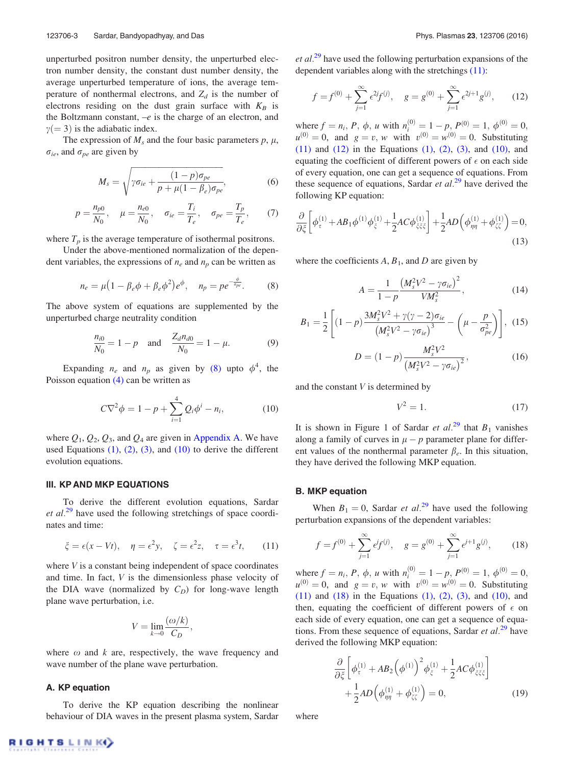unperturbed positron number density, the unperturbed electron number density, the constant dust number density, the average unperturbed temperature of ions, the average temperature of nonthermal electrons, and  $Z_d$  is the number of electrons residing on the dust grain surface with  $K_B$  is the Boltzmann constant, –*e* is the charge of an electron, and  $\gamma(=3)$  is the adiabatic index.

The expression of  $M_s$  and the four basic parameters  $p, \mu$ ,  $\sigma_{ie}$ , and  $\sigma_{pe}$  are given by

$$
M_s = \sqrt{\gamma \sigma_{ie} + \frac{(1-p)\sigma_{pe}}{p + \mu(1-\beta_e)\sigma_{pe}}},\tag{6}
$$

$$
p = \frac{n_{p0}}{N_0}, \quad \mu = \frac{n_{e0}}{N_0}, \quad \sigma_{ie} = \frac{T_i}{T_e}, \quad \sigma_{pe} = \frac{T_p}{T_e}, \quad (7)
$$

where  $T_p$  is the average temperature of isothermal positrons.

Under the above-mentioned normalization of the dependent variables, the expressions of  $n_e$  and  $n_p$  can be written as

$$
n_e = \mu \left( 1 - \beta_e \phi + \beta_e \phi^2 \right) e^{\phi}, \quad n_p = p e^{-\frac{\phi}{\sigma_{pe}}}. \tag{8}
$$

The above system of equations are supplemented by the unperturbed charge neutrality condition

$$
\frac{n_{i0}}{N_0} = 1 - p \quad \text{and} \quad \frac{Z_d n_{d0}}{N_0} = 1 - \mu. \tag{9}
$$

Expanding  $n_e$  and  $n_p$  as given by (8) upto  $\phi^4$ , the Poisson equation (4) can be written as

$$
C\nabla^2 \phi = 1 - p + \sum_{i=1}^4 Q_i \phi^i - n_i,
$$
 (10)

where  $Q_1$ ,  $Q_2$ ,  $Q_3$ , and  $Q_4$  are given in Appendix A. We have used Equations  $(1)$ ,  $(2)$ ,  $(3)$ , and  $(10)$  to derive the different evolution equations.

#### III. KP AND MKP EQUATIONS

To derive the different evolution equations, Sardar *et al.*<sup>29</sup> have used the following stretchings of space coordinates and time:

$$
\xi = \epsilon(x - Vt), \quad \eta = \epsilon^2 y, \quad \zeta = \epsilon^2 z, \quad \tau = \epsilon^3 t,
$$
 (11)

where *V* is a constant being independent of space coordinates and time. In fact, *V* is the dimensionless phase velocity of the DIA wave (normalized by  $C_D$ ) for long-wave length plane wave perturbation, i.e.

$$
V = \lim_{k \to 0} \frac{(\omega/k)}{C_D},
$$

where  $\omega$  and  $k$  are, respectively, the wave frequency and wave number of the plane wave perturbation.

#### A. KP equation

To derive the KP equation describing the nonlinear behaviour of DIA waves in the present plasma system, Sardar *et al.*<sup>29</sup> have used the following perturbation expansions of the dependent variables along with the stretchings (11):

$$
f = f^{(0)} + \sum_{j=1}^{\infty} \epsilon^{2j} f^{(j)}, \quad g = g^{(0)} + \sum_{j=1}^{\infty} \epsilon^{2j+1} g^{(j)},
$$
 (12)

where  $f = n_i$ , *P*,  $\phi$ , *u* with  $n_i^{(0)} = 1 - p$ ,  $P^{(0)} = 1$ ,  $\phi^{(0)} = 0$ ,  $u^{(0)} = 0$ , and  $g = v$ , *w* with  $v^{(0)} = w^{(0)} = 0$ . Substituting  $(11)$  and  $(12)$  in the Equations  $(1)$ ,  $(2)$ ,  $(3)$ , and  $(10)$ , and equating the coefficient of different powers of  $\epsilon$  on each side of every equation, one can get a sequence of equations. From these sequence of equations, Sardar *et al.*<sup>29</sup> have derived the following KP equation:

$$
\frac{\partial}{\partial \xi} \left[ \phi_{\tau}^{(1)} + AB_1 \phi^{(1)} \phi_{\xi}^{(1)} + \frac{1}{2} AC \phi_{\xi \xi \xi}^{(1)} \right] + \frac{1}{2} AD \left( \phi_{\eta \eta}^{(1)} + \phi_{\zeta \zeta}^{(1)} \right) = 0, \tag{13}
$$

where the coefficients  $A$ ,  $B_1$ , and  $D$  are given by

$$
A = \frac{1}{1 - p} \frac{\left(M_s^2 V^2 - \gamma \sigma_{ie}\right)^2}{V M_s^2},\tag{14}
$$

$$
B_1 = \frac{1}{2} \left[ (1-p) \frac{3M_s^2 V^2 + \gamma (\gamma - 2) \sigma_{ie}}{\left(M_s^2 V^2 - \gamma \sigma_{ie}\right)^3} - \left(\mu - \frac{p}{\sigma_{pe}^2}\right) \right], (15)
$$

$$
D = (1-p) \frac{M_s^2 V^2}{\sigma_{pe}^2} \tag{16}
$$

$$
D = (1 - p) \frac{m_s v}{(M_s^2 V^2 - \gamma \sigma_{ie})^2},
$$
 (16)

and the constant *V* is determined by

$$
V^2 = 1.\tag{17}
$$

It is shown in Figure 1 of Sardar *et al.*<sup>29</sup> that  $B_1$  vanishes along a family of curves in  $\mu - p$  parameter plane for different values of the nonthermal parameter  $\beta_e$ . In this situation, they have derived the following MKP equation.

#### B. MKP equation

When  $B_1 = 0$ , Sardar *et al.*<sup>29</sup> have used the following perturbation expansions of the dependent variables:

$$
f = f^{(0)} + \sum_{j=1}^{\infty} e^j f^{(j)}, \quad g = g^{(0)} + \sum_{j=1}^{\infty} e^{j+1} g^{(j)}, \tag{18}
$$

where  $f = n_i$ , *P*,  $\phi$ , *u* with  $n_i^{(0)} = 1 - p$ ,  $P^{(0)} = 1$ ,  $\phi^{(0)} = 0$ ,  $u^{(0)} = 0$ , and  $g = v$ , *w* with  $v^{(0)} = w^{(0)} = 0$ . Substituting  $(11)$  and  $(18)$  in the Equations  $(1)$ ,  $(2)$ ,  $(3)$ , and  $(10)$ , and then, equating the coefficient of different powers of  $\epsilon$  on each side of every equation, one can get a sequence of equations. From these sequence of equations, Sardar *et al.*<sup>29</sup> have derived the following MKP equation:

$$
\frac{\partial}{\partial \xi} \left[ \phi_{\tau}^{(1)} + AB_2 \left( \phi^{(1)} \right)^2 \phi_{\xi}^{(1)} + \frac{1}{2} AC \phi_{\xi \xi \xi}^{(1)} \right] + \frac{1}{2} AD \left( \phi_{\eta\eta}^{(1)} + \phi_{\zeta\zeta}^{(1)} \right) = 0, \tag{19}
$$

where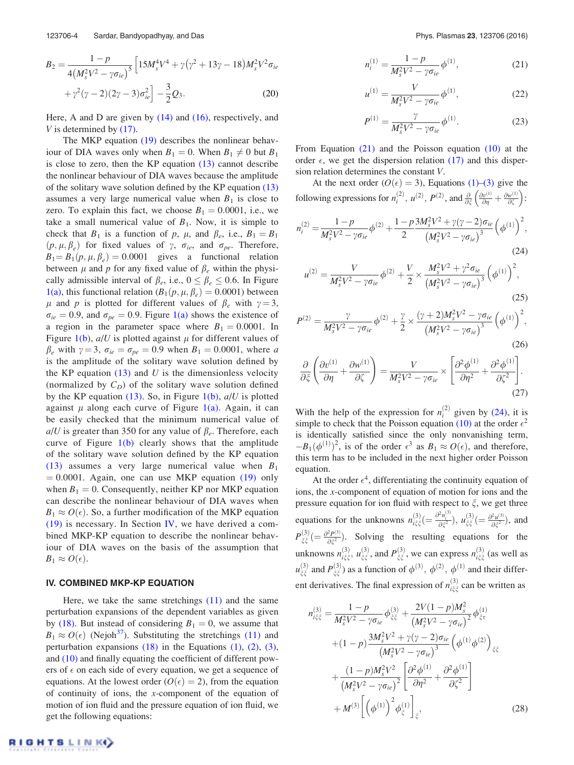$$
B_2 = \frac{1 - p}{4(M_s^2 V^2 - \gamma \sigma_{ie})^5} \left[ 15M_s^4 V^4 + \gamma (\gamma^2 + 13\gamma - 18) M_s^2 V^2 \sigma_{ie} + \gamma^2 (\gamma - 2)(2\gamma - 3) \sigma_{ie}^2 \right] - \frac{3}{2} Q_3.
$$
 (20)

Here, A and D are given by  $(14)$  and  $(16)$ , respectively, and *V* is determined by (17).

The MKP equation (19) describes the nonlinear behaviour of DIA waves only when  $B_1 = 0$ . When  $B_1 \neq 0$  but  $B_1$ is close to zero, then the KP equation (13) cannot describe the nonlinear behaviour of DIA waves because the amplitude of the solitary wave solution defined by the KP equation (13) assumes a very large numerical value when  $B_1$  is close to zero. To explain this fact, we choose  $B_1 = 0.0001$ , i.e., we take a small numerical value of  $B_1$ . Now, it is simple to check that  $B_1$  is a function of  $p$ ,  $\mu$ , and  $\beta_e$ , i.e.,  $B_1 = B_1$  $(p, \mu, \beta_e)$  for fixed values of  $\gamma$ ,  $\sigma_{ie}$ , and  $\sigma_{pe}$ . Therefore,  $B_1 = B_1(p, \mu, \beta_e) = 0.0001$  gives a functional relation between  $\mu$  and  $p$  for any fixed value of  $\beta_e$  within the physically admissible interval of  $\beta_e$ , i.e.,  $0 \le \beta_e \le 0.6$ . In Figure 1(a), this functional relation  $(B_1(p, \mu, \beta_e) = 0.0001)$  between  $\mu$  and *p* is plotted for different values of  $\beta_e$  with  $\gamma = 3$ ,  $\sigma_{ie} = 0.9$ , and  $\sigma_{pe} = 0.9$ . Figure 1(a) shows the existence of a region in the parameter space where  $B_1 = 0.0001$ . In Figure 1(b),  $a/U$  is plotted against  $\mu$  for different values of  $\beta_e$  with  $\gamma = 3$ ,  $\sigma_{ie} = \sigma_{pe} = 0.9$  when  $B_1 = 0.0001$ , where *a* is the amplitude of the solitary wave solution defined by the KP equation  $(13)$  and *U* is the dimensionless velocity (normalized by  $C_D$ ) of the solitary wave solution defined by the KP equation (13). So, in Figure 1(b), *a*/*U* is plotted against  $\mu$  along each curve of Figure 1(a). Again, it can be easily checked that the minimum numerical value of  $a/U$  is greater than 350 for any value of  $\beta_e$ . Therefore, each curve of Figure  $1(b)$  clearly shows that the amplitude of the solitary wave solution defined by the KP equation (13) assumes a very large numerical value when *B*<sup>1</sup>  $= 0.0001$ . Again, one can use MKP equation (19) only when  $B_1 = 0$ . Consequently, neither KP nor MKP equation can describe the nonlinear behaviour of DIA waves when  $B_1 \approx O(\epsilon)$ . So, a further modification of the MKP equation  $(19)$  is necessary. In Section IV, we have derived a combined MKP-KP equation to describe the nonlinear behaviour of DIA waves on the basis of the assumption that  $B_1 \approx O(\epsilon).$ 

#### IV. COMBINED MKP-KP EQUATION

Here, we take the same stretchings (11) and the same perturbation expansions of the dependent variables as given by (18). But instead of considering  $B_1 = 0$ , we assume that  $B_1 \approx O(\epsilon)$  (Nejoh<sup>37</sup>). Substituting the stretchings (11) and perturbation expansions  $(18)$  in the Equations  $(1)$ ,  $(2)$ ,  $(3)$ , and (10) and finally equating the coefficient of different powers of  $\epsilon$  on each side of every equation, we get a sequence of equations. At the lowest order ( $O(\epsilon) = 2$ ), from the equation of continuity of ions, the *x*-component of the equation of motion of ion fluid and the pressure equation of ion fluid, we get the following equations:

$$
n_i^{(1)} = \frac{1 - p}{M_s^2 V^2 - \gamma \sigma_{ie}} \phi^{(1)},
$$
\n(21)

$$
u^{(1)} = \frac{V}{M_s^2 V^2 - \gamma \sigma_{ie}} \phi^{(1)},
$$
\n(22)

$$
P^{(1)} = \frac{\gamma}{M_s^2 V^2 - \gamma \sigma_{ie}} \phi^{(1)}.
$$
 (23)

From Equation (21) and the Poisson equation (10) at the order  $\epsilon$ , we get the dispersion relation (17) and this dispersion relation determines the constant *V*.

At the next order ( $O(\epsilon) = 3$ ), Equations (1)–(3) give the following expressions for  $n_i^{(2)}$ ,  $u^{(2)}$ ,  $P^{(2)}$ , and  $\frac{\partial}{\partial \xi} \left( \frac{\partial v^{(1)}}{\partial \eta} + \frac{\partial w^{(1)}}{\partial \zeta} \right)$ :

$$
n_i^{(2)} = \frac{1 - p}{M_s^2 V^2 - \gamma \sigma_{ie}} \phi^{(2)} + \frac{1 - p}{2} \frac{3 M_s^2 V^2 + \gamma (\gamma - 2) \sigma_{ie}}{\left(M_s^2 V^2 - \gamma \sigma_{ie}\right)^3} \left(\phi^{(1)}\right)^2,
$$
\n(24)

$$
u^{(2)} = \frac{V}{M_s^2 V^2 - \gamma \sigma_{ie}} \phi^{(2)} + \frac{V}{2} \times \frac{M_s^2 V^2 + \gamma^2 \sigma_{ie}}{\left(M_s^2 V^2 - \gamma \sigma_{ie}\right)^3} \left(\phi^{(1)}\right)^2,
$$
\n(25)

$$
P^{(2)} = \frac{\gamma}{M_s^2 V^2 - \gamma \sigma_{ie}} \phi^{(2)} + \frac{\gamma}{2} \times \frac{(\gamma + 2) M_s^2 V^2 - \gamma \sigma_{ie}}{(M_s^2 V^2 - \gamma \sigma_{ie})^3} \left(\phi^{(1)}\right)^2,
$$
\n(26)

$$
\frac{\partial}{\partial \xi} \left( \frac{\partial v^{(1)}}{\partial \eta} + \frac{\partial w^{(1)}}{\partial \zeta} \right) = \frac{V}{M_s^2 V^2 - \gamma \sigma_{ie}} \times \left[ \frac{\partial^2 \phi^{(1)}}{\partial \eta^2} + \frac{\partial^2 \phi^{(1)}}{\partial \zeta^2} \right].
$$
\n(27)

With the help of the expression for  $n_i^{(2)}$  given by (24), it is simple to check that the Poisson equation (10) at the order  $\epsilon^2$ is identically satisfied since the only nonvanishing term,  $-B_1(\phi^{(1)})^2$ , is of the order  $\epsilon^3$  as  $B_1 \approx O(\epsilon)$ , and therefore, this term has to be included in the next higher order Poisson equation.

At the order  $\epsilon^4$ , differentiating the continuity equation of ions, the *x*-component of equation of motion for ions and the pressure equation for ion fluid with respect to  $\xi$ , we get three equations for the unknowns  $n_{i\xi\xi}^{(3)} = \frac{\partial^2 n_i^{(3)}}{\partial \xi^2}$ ,  $u_{\xi\xi}^{(3)} = \frac{\partial^2 u^{(3)}}{\partial \xi^2}$  $\frac{\partial^2 u^{(3)}}{\partial \xi^2}$ , and  $P_{\xi\xi}^{(3)}(=\frac{\partial^2 P^{(3)}}{\partial \xi^2}$  $\frac{\partial P^{(3)}}{\partial \xi^2}$ . Solving the resulting equations for the unknowns  $n_{i\xi\xi}^{(3)}$ ,  $u_{\xi\xi}^{(3)}$ , and  $P_{\xi\xi}^{(3)}$ , we can express  $n_{i\xi\xi}^{(3)}$  (as well as  $u_{\xi\xi}^{(3)}$  and  $P_{\xi\xi}^{(3)}$ ) as a function of  $\phi^{(3)}, \phi^{(2)}, \phi^{(1)}$  and their different derivatives. The final expression of  $n_{i\xi\xi}^{(3)}$  can be written as

$$
n_{i\xi\xi}^{(3)} = \frac{1-p}{M_s^2 V^2 - \gamma \sigma_{ie}} \phi_{\xi\xi}^{(3)} + \frac{2V(1-p)M_s^2}{(M_s^2 V^2 - \gamma \sigma_{ie})^2} \phi_{\xi\tau}^{(1)}
$$
  
+ 
$$
(1-p) \frac{3M_s^2 V^2 + \gamma(\gamma - 2)\sigma_{ie}}{(M_s^2 V^2 - \gamma \sigma_{ie})^3} \left(\phi^{(1)} \phi^{(2)}\right)_{\xi\xi}
$$
  
+ 
$$
\frac{(1-p)M_s^2 V^2}{(M_s^2 V^2 - \gamma \sigma_{ie})^2} \left[\frac{\partial^2 \phi^{(1)}}{\partial \eta^2} + \frac{\partial^2 \phi^{(1)}}{\partial \zeta^2}\right]
$$
  
+ 
$$
M^{(3)} \left[\left(\phi^{(1)}\right)^2 \phi_{\xi}^{(1)}\right]_{\xi},
$$
(28)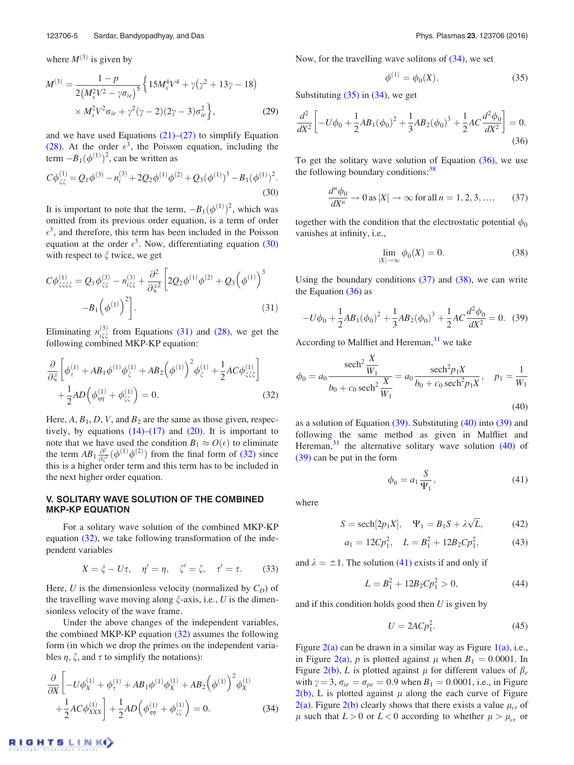where  $M^{(3)}$  is given by

$$
M^{(3)} = \frac{1 - p}{2(M_s^2 V^2 - \gamma \sigma_{ie})^5} \left\{ 15M_s^4 V^4 + \gamma (\gamma^2 + 13\gamma - 18) \times M_s^2 V^2 \sigma_{ie} + \gamma^2 (\gamma - 2)(2\gamma - 3) \sigma_{ie}^2 \right\},
$$
(29)

and we have used Equations  $(21)$ – $(27)$  to simplify Equation (28). At the order  $\epsilon^3$ , the Poisson equation, including the term  $-B_1(\phi^{(1)})^2$ , can be written as

$$
C\phi_{\xi\xi}^{(1)} = Q_1\phi^{(3)} - n_i^{(3)} + 2Q_2\phi^{(1)}\phi^{(2)} + Q_3(\phi^{(1)})^3 - B_1(\phi^{(1)})^2.
$$
\n(30)

It is important to note that the term,  $-B_1(\phi^{(1)})^2$ , which was omitted from its previous order equation, is a term of order  $\epsilon^3$ , and therefore, this term has been included in the Poisson equation at the order  $\epsilon^3$ . Now, differentiating equation (30) with respect to  $\xi$  twice, we get

$$
C\phi_{\xi\xi\xi\xi}^{(1)} = Q_1\phi_{\xi\xi}^{(3)} - n_{i\xi\xi}^{(3)} + \frac{\partial^2}{\partial\xi^2} \left[ 2Q_2\phi^{(1)}\phi^{(2)} + Q_3\left(\phi^{(1)}\right)^3 -B_1\left(\phi^{(1)}\right)^2 \right].
$$
\n(31)

Eliminating  $n_{i\xi\xi}^{(3)}$  from Equations (31) and (28), we get the following combined MKP-KP equation:

$$
\frac{\partial}{\partial \xi} \left[ \phi_{\tau}^{(1)} + AB_1 \phi^{(1)} \phi_{\xi}^{(1)} + AB_2 \left( \phi^{(1)} \right)^2 \phi_{\xi}^{(1)} + \frac{1}{2} AC \phi_{\xi \xi \xi}^{(1)} \right] + \frac{1}{2} AD \left( \phi_{\eta\eta}^{(1)} + \phi_{\xi\xi}^{(1)} \right) = 0.
$$
\n(32)

Here,  $A$ ,  $B_1$ ,  $D$ ,  $V$ , and  $B_2$  are the same as those given, respectively, by equations  $(14)$ – $(17)$  and  $(20)$ . It is important to note that we have used the condition  $B_1 \approx O(\epsilon)$  to eliminate the term  $AB_1 \frac{\partial^2}{\partial \xi^2}$  $\frac{\partial^2}{\partial \xi^2}(\phi^{(1)}\phi^{(2)})$  from the final form of (32) since this is a higher order term and this term has to be included in the next higher order equation.

# V. SOLITARY WAVE SOLUTION OF THE COMBINED MKP-KP EQUATION

For a solitary wave solution of the combined MKP-KP equation (32), we take following transformation of the independent variables

$$
X = \xi - U\tau, \quad \eta' = \eta, \quad \zeta' = \zeta, \quad \tau' = \tau. \tag{33}
$$

Here, U is the dimensionless velocity (normalized by  $C_D$ ) of the travelling wave moving along  $\xi$ -axis, i.e.,  $U$  is the dimensionless velocity of the wave frame.

Under the above changes of the independent variables, the combined MKP-KP equation (32) assumes the following form (in which we drop the primes on the independent variables  $\eta$ ,  $\zeta$ , and  $\tau$  to simplify the notations):

$$
\frac{\partial}{\partial X} \left[ -U\phi_X^{(1)} + \phi_\tau^{(1)} + AB_1 \phi^{(1)} \phi_X^{(1)} + AB_2 \left( \phi^{(1)} \right)^2 \phi_X^{(1)} + \frac{1}{2} AC \phi_{XXX}^{(1)} \right] + \frac{1}{2} AD \left( \phi_{\eta\eta}^{(1)} + \phi_{\zeta\zeta}^{(1)} \right) = 0.
$$
\n(34)

Now, for the travelling wave solitons of  $(34)$ , we set

$$
\phi^{(1)} = \phi_0(X). \tag{35}
$$

Substituting  $(35)$  in  $(34)$ , we get

$$
\frac{d^2}{dX^2} \left[ -U\phi_0 + \frac{1}{2}AB_1(\phi_0)^2 + \frac{1}{3}AB_2(\phi_0)^3 + \frac{1}{2}AC\frac{d^2\phi_0}{dX^2} \right] = 0.
$$
\n(36)

To get the solitary wave solution of Equation (36), we use the following boundary conditions: $38$ 

$$
\frac{d^n \phi_0}{dX^n} \to 0 \text{ as } |X| \to \infty \text{ for all } n = 1, 2, 3, ..., \qquad (37)
$$

together with the condition that the electrostatic potential  $\phi_0$ vanishes at infinity, i.e.,

$$
\lim_{|X| \to \infty} \phi_0(X) = 0. \tag{38}
$$

Using the boundary conditions (37) and (38), we can write the Equation (36) as

$$
-U\phi_0 + \frac{1}{2}AB_1(\phi_0)^2 + \frac{1}{3}AB_2(\phi_0)^3 + \frac{1}{2}AC\frac{d^2\phi_0}{dX^2} = 0.
$$
 (39)

According to Malfliet and Hereman,  $31$  we take

$$
\phi_0 = a_0 \frac{\text{sech}^2 \frac{X}{W_1}}{b_0 + c_0 \text{sech}^2 \frac{X}{W_1}} = a_0 \frac{\text{sech}^2 p_1 X}{b_0 + c_0 \text{sech}^2 p_1 X}, \quad p_1 = \frac{1}{W_1}
$$
\n(40)

as a solution of Equation (39). Substituting (40) into (39) and following the same method as given in Malfliet and Hereman, $31$  the alternative solitary wave solution (40) of (39) can be put in the form

$$
\phi_0 = a_1 \frac{S}{\Psi_1},\tag{41}
$$

where

$$
S = \operatorname{sech}[2p_1X], \quad \Psi_1 = B_1S + \lambda\sqrt{L}, \tag{42}
$$

$$
a_1 = 12Cp_1^2, \quad L = B_1^2 + 12B_2Cp_1^2,\tag{43}
$$

and  $\lambda = \pm 1$ . The solution (41) exists if and only if

$$
L = B_1^2 + 12B_2 C p_1^2 > 0,\t\t(44)
$$

and if this condition holds good then *U* is given by

$$
U = 2ACp_1^2. \tag{45}
$$

Figure  $2(a)$  can be drawn in a similar way as Figure  $1(a)$ , i.e., in Figure 2(a), *p* is plotted against  $\mu$  when  $B_1 = 0.0001$ . In Figure 2(b), *L* is plotted against  $\mu$  for different values of  $\beta_e$ with  $\gamma = 3$ ,  $\sigma_{ie} = \sigma_{pe} = 0.9$  when  $B_1 = 0.0001$ , i.e., in Figure  $2(b)$ , L is plotted against  $\mu$  along the each curve of Figure 2(a). Figure 2(b) clearly shows that there exists a value  $\mu_{cr}$  of  $\mu$  such that  $L > 0$  or  $L < 0$  according to whether  $\mu > \mu_{cr}$  or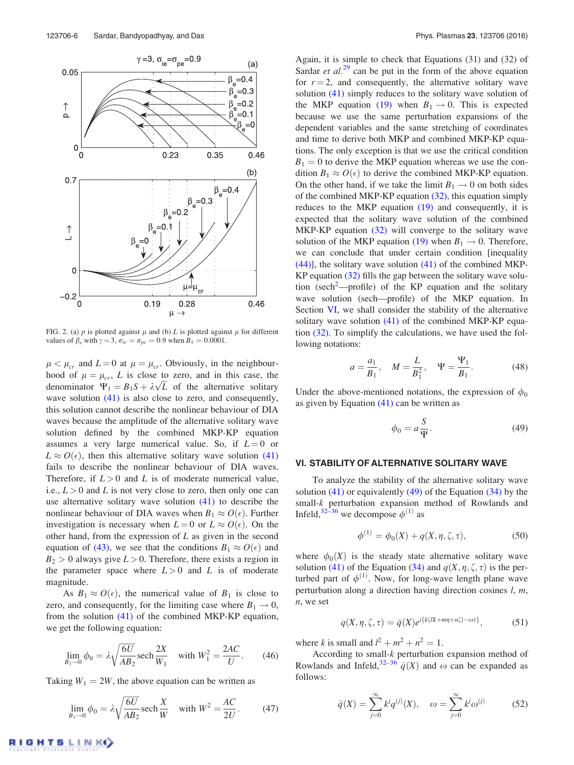

FIG. 2. (a)  $p$  is plotted against  $\mu$  and (b)  $L$  is plotted against  $\mu$  for different values of  $\beta_e$  with  $\gamma = 3$ ,  $\sigma_{ie} = \sigma_{pe} = 0.9$  when  $B_1 = 0.0001$ .

 $\mu < \mu_{cr}$  and  $L = 0$  at  $\mu = \mu_{cr}$ . Obviously, in the neighbourhood of  $\mu = \mu_{cr}$ , *L* is close to zero, and in this case, the denominator  $\Psi_1 = B_1 S + \lambda \sqrt{L}$  of the alternative solitary wave solution  $(41)$  is also close to zero, and consequently, this solution cannot describe the nonlinear behaviour of DIA waves because the amplitude of the alternative solitary wave solution defined by the combined MKP-KP equation assumes a very large numerical value. So, if  $L = 0$  or  $L \approx O(\epsilon)$ , then this alternative solitary wave solution (41) fails to describe the nonlinear behaviour of DIA waves. Therefore, if  $L > 0$  and  $L$  is of moderate numerical value, i.e.,  $L > 0$  and *L* is not very close to zero, then only one can use alternative solitary wave solution (41) to describe the nonlinear behaviour of DIA waves when  $B_1 \approx O(\epsilon)$ . Further investigation is necessary when  $L = 0$  or  $L \approx O(\epsilon)$ . On the other hand, from the expression of *L* as given in the second equation of (43), we see that the conditions  $B_1 \approx O(\epsilon)$  and  $B_2 > 0$  always give  $L > 0$ . Therefore, there exists a region in the parameter space where  $L > 0$  and L is of moderate magnitude.

As  $B_1 \approx O(\epsilon)$ , the numerical value of  $B_1$  is close to zero, and consequently, for the limiting case where  $B_1 \rightarrow 0$ , from the solution (41) of the combined MKP-KP equation, we get the following equation:

$$
\lim_{B_1 \to 0} \phi_0 = \lambda \sqrt{\frac{6U}{AB_2}} \operatorname{sech} \frac{2X}{W_1} \quad \text{with } W_1^2 = \frac{2AC}{U}.
$$
 (46)

Taking  $W_1 = 2W$ , the above equation can be written as

$$
\lim_{B_1 \to 0} \phi_0 = \lambda \sqrt{\frac{6U}{AB_2}} \operatorname{sech} \frac{X}{W} \quad \text{with } W^2 = \frac{AC}{2U}.
$$
 (47)

Again, it is simple to check that Equations (31) and (32) of Sardar *et al.*<sup>29</sup> can be put in the form of the above equation for  $r = 2$ , and consequently, the alternative solitary wave solution (41) simply reduces to the solitary wave solution of the MKP equation (19) when  $B_1 \rightarrow 0$ . This is expected because we use the same perturbation expansions of the dependent variables and the same stretching of coordinates and time to derive both MKP and combined MKP-KP equations. The only exception is that we use the critical condition  $B_1 = 0$  to derive the MKP equation whereas we use the condition  $B_1 \approx O(\epsilon)$  to derive the combined MKP-KP equation. On the other hand, if we take the limit  $B_1 \rightarrow 0$  on both sides of the combined MKP-KP equation  $(32)$ , this equation simply reduces to the MKP equation (19) and consequently, it is expected that the solitary wave solution of the combined MKP-KP equation (32) will converge to the solitary wave solution of the MKP equation (19) when  $B_1 \rightarrow 0$ . Therefore, we can conclude that under certain condition [inequality  $(44)$ ], the solitary wave solution  $(41)$  of the combined MKP-KP equation (32) fills the gap between the solitary wave solution (sech<sup>2</sup>—profile) of the KP equation and the solitary wave solution (sech—profile) of the MKP equation. In Section VI, we shall consider the stability of the alternative solitary wave solution (41) of the combined MKP-KP equation (32). To simplify the calculations, we have used the following notations:

$$
a = \frac{a_1}{B_1}, \quad M = \frac{L}{B_1^2}, \quad \Psi = \frac{\Psi_1}{B_1}.
$$
 (48)

Under the above-mentioned notations, the expression of  $\phi_0$ as given by Equation  $(41)$  can be written as

$$
\phi_0 = a \frac{S}{\Psi}.\tag{49}
$$

# VI. STABILITY OF ALTERNATIVE SOLITARY WAVE

To analyze the stability of the alternative solitary wave solution  $(41)$  or equivalently  $(49)$  of the Equation  $(34)$  by the small-*k* perturbation expansion method of Rowlands and Infeld,  $32-36$  we decompose  $\phi^{(1)}$  as

$$
\phi^{(1)} = \phi_0(X) + q(X, \eta, \zeta, \tau), \tag{50}
$$

where  $\phi_0(X)$  is the steady state alternative solitary wave solution (41) of the Equation (34) and  $q(X, \eta, \zeta, \tau)$  is the perturbed part of  $\phi^{(1)}$ . Now, for long-wave length plane wave perturbation along a direction having direction cosines *l*, *m*, *n*, we set

$$
q(X, \eta, \zeta, \tau) = \bar{q}(X)e^{i\{k(X + m\eta + n\zeta) - \omega\tau\}},
$$
\n(51)

where *k* is small and  $l^2 + m^2 + n^2 = 1$ .

According to small-*k* perturbation expansion method of Rowlands and Infeld,<sup>32–36</sup>  $\bar{q}(X)$  and  $\omega$  can be expanded as follows:

$$
\bar{q}(X) = \sum_{j=0}^{\infty} k^j q^{(j)}(X), \quad \omega = \sum_{j=0}^{\infty} k^j \omega^{(j)} \tag{52}
$$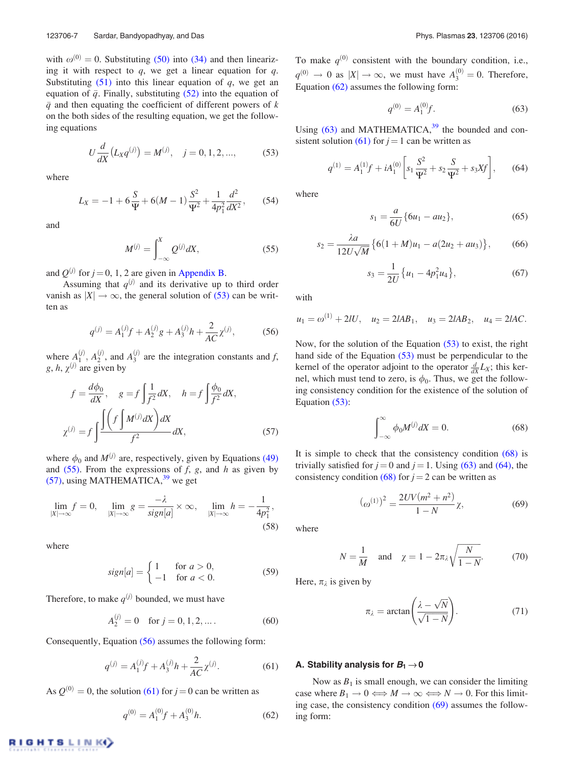with  $\omega^{(0)} = 0$ . Substituting (50) into (34) and then linearizing it with respect to *q*, we get a linear equation for *q*. Substituting  $(51)$  into this linear equation of *q*, we get an equation of  $\bar{q}$ . Finally, substituting (52) into the equation of  $\bar{q}$  and then equating the coefficient of different powers of *k* on the both sides of the resulting equation, we get the following equations

$$
U\frac{d}{dX}\left(L_X q^{(j)}\right) = M^{(j)}, \quad j = 0, 1, 2, ..., \tag{53}
$$

where

$$
L_X = -1 + 6\frac{S}{\Psi} + 6(M - 1)\frac{S^2}{\Psi^2} + \frac{1}{4p_1^2}\frac{d^2}{dX^2},\qquad(54)
$$

and

$$
M^{(j)} = \int_{-\infty}^{X} Q^{(j)} dX,
$$
 (55)

and  $Q^{(j)}$  for  $j = 0, 1, 2$  are given in Appendix B.

Assuming that  $q^{(j)}$  and its derivative up to third order vanish as  $|X| \to \infty$ , the general solution of (53) can be written as

$$
q^{(j)} = A_1^{(j)}f + A_2^{(j)}g + A_3^{(j)}h + \frac{2}{AC}\chi^{(j)},
$$
 (56)

where  $A_1^{(j)}$ ,  $A_2^{(j)}$ , and  $A_3^{(j)}$  are the integration constants and *f*,  $g, h, \chi^{(j)}$  are given by

$$
f = \frac{d\phi_0}{dX}, \quad g = f \int \frac{1}{f^2} dX, \quad h = f \int \frac{\phi_0}{f^2} dX,
$$

$$
\chi^{(j)} = f \int \frac{\int (f \int M^{(j)} dX) dX}{f^2} dX,
$$
(57)

where  $\phi_0$  and  $M^{(j)}$  are, respectively, given by Equations (49) and (55). From the expressions of *f*, *g*, and *h* as given by  $(57)$ , using MATHEMATICA,<sup>39</sup> we get

$$
\lim_{|X| \to \infty} f = 0, \quad \lim_{|X| \to \infty} g = \frac{-\lambda}{sign[a]} \times \infty, \quad \lim_{|X| \to \infty} h = -\frac{1}{4p_1^2},
$$
\n(58)

where

$$
sign[a] = \begin{cases} 1 & \text{for } a > 0, \\ -1 & \text{for } a < 0. \end{cases}
$$
 (59)

Therefore, to make  $q^{(j)}$  bounded, we must have

$$
A_2^{(j)} = 0 \quad \text{for } j = 0, 1, 2, \dots.
$$
 (60)

Consequently, Equation (56) assumes the following form:

$$
q^{(j)} = A_1^{(j)}f + A_3^{(j)}h + \frac{2}{AC}\chi^{(j)}.
$$
 (61)

As  $Q^{(0)} = 0$ , the solution (61) for  $j = 0$  can be written as

$$
q^{(0)} = A_1^{(0)}f + A_3^{(0)}h.
$$
 (62)

To make  $q^{(0)}$  consistent with the boundary condition, i.e.,  $q^{(0)} \to 0$  as  $|X| \to \infty$ , we must have  $A_3^{(0)} = 0$ . Therefore, Equation (62) assumes the following form:

$$
q^{(0)} = A_1^{(0)} f.
$$
 (63)

Using  $(63)$  and MATHEMATICA,<sup>39</sup> the bounded and consistent solution (61) for  $j = 1$  can be written as

$$
q^{(1)} = A_1^{(1)}f + iA_1^{(0)} \left[ s_1 \frac{S^2}{\Psi^2} + s_2 \frac{S}{\Psi^2} + s_3 X f \right], \quad (64)
$$

where

$$
s_1 = \frac{a}{6U} \{6u_1 - au_2\},\tag{65}
$$

$$
s_2 = \frac{\lambda a}{12U\sqrt{M}} \{6(1+M)u_1 - a(2u_2 + au_3)\},\qquad(66)
$$

$$
s_3 = \frac{1}{2U} \{ u_1 - 4p_1^2 u_4 \},\tag{67}
$$

with

$$
u_1 = \omega^{(1)} + 2lU
$$
,  $u_2 = 2IAB_1$ ,  $u_3 = 2IAB_2$ ,  $u_4 = 2IAC$ .

Now, for the solution of the Equation (53) to exist, the right hand side of the Equation (53) must be perpendicular to the kernel of the operator adjoint to the operator  $\frac{d}{dx}L_X$ ; this kernel, which must tend to zero, is  $\phi_0$ . Thus, we get the following consistency condition for the existence of the solution of Equation (53):

$$
\int_{-\infty}^{\infty} \phi_0 M^{(j)} dX = 0.
$$
 (68)

It is simple to check that the consistency condition (68) is trivially satisfied for  $j = 0$  and  $j = 1$ . Using (63) and (64), the consistency condition (68) for  $j = 2$  can be written as

$$
(\omega^{(1)})^2 = \frac{2UV(m^2 + n^2)}{1 - N}\chi,\tag{69}
$$

where

$$
N = \frac{1}{M} \quad \text{and} \quad \chi = 1 - 2\pi \lambda \sqrt{\frac{N}{1 - N}}.\tag{70}
$$

Here,  $\pi_{\lambda}$  is given by

$$
\pi_{\lambda} = \arctan\left(\frac{\lambda - \sqrt{N}}{\sqrt{1 - N}}\right).
$$
 (71)

#### A. Stability analysis for  $B_1 \rightarrow 0$

Now as  $B_1$  is small enough, we can consider the limiting case where  $B_1 \to 0 \Longleftrightarrow M \to \infty \Longleftrightarrow N \to 0$ . For this limiting case, the consistency condition (69) assumes the following form: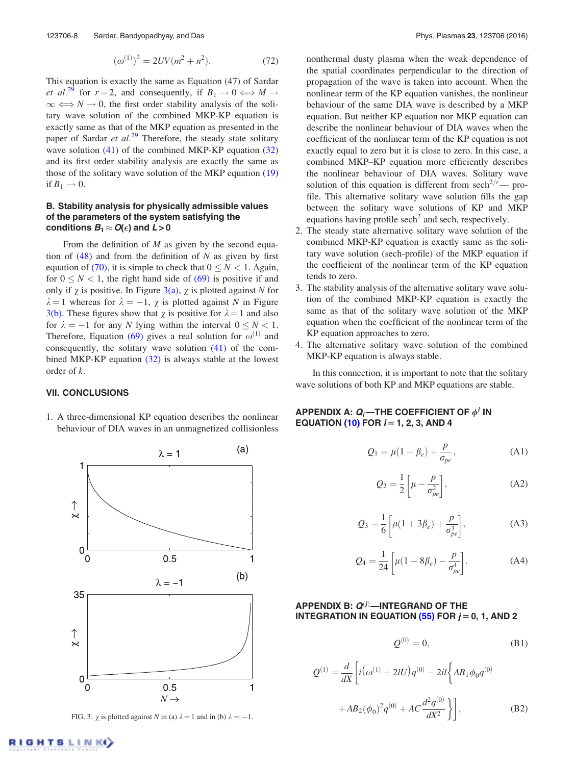$$
(\omega^{(1)})^2 = 2UV(m^2 + n^2). \tag{72}
$$

This equation is exactly the same as Equation (47) of Sardar *et al.*<sup>29</sup> for  $r = 2$ , and consequently, if  $B_1 \rightarrow 0 \Longleftrightarrow M \rightarrow$  $\infty \Longleftrightarrow N \rightarrow 0$ , the first order stability analysis of the solitary wave solution of the combined MKP-KP equation is exactly same as that of the MKP equation as presented in the paper of Sardar *et al.*<sup>29</sup> Therefore, the steady state solitary wave solution (41) of the combined MKP-KP equation (32) and its first order stability analysis are exactly the same as those of the solitary wave solution of the MKP equation (19) if  $B_1 \rightarrow 0$ .

# B. Stability analysis for physically admissible values of the parameters of the system satisfying the conditions  $\boldsymbol{B_1} \approx \boldsymbol{O}(\epsilon)$  and  $\boldsymbol{L} > \boldsymbol{0}$

From the definition of *M* as given by the second equation of (48) and from the definition of *N* as given by first equation of (70), it is simple to check that  $0 \le N < 1$ . Again, for  $0 \le N < 1$ , the right hand side of (69) is positive if and only if  $\gamma$  is positive. In Figure 3(a),  $\gamma$  is plotted against *N* for  $\lambda = 1$  whereas for  $\lambda = -1$ ,  $\chi$  is plotted against *N* in Figure 3(b). These figures show that  $\chi$  is positive for  $\lambda = 1$  and also for  $\lambda = -1$  for any *N* lying within the interval  $0 \le N < 1$ . Therefore, Equation (69) gives a real solution for  $\omega^{(1)}$  and consequently, the solitary wave solution (41) of the combined MKP-KP equation (32) is always stable at the lowest order of *k*.

### VII. CONCLUSIONS

1. A three-dimensional KP equation describes the nonlinear behaviour of DIA waves in an unmagnetized collisionless

(a)



FIG. 3.  $\chi$  is plotted against *N* in (a)  $\lambda = 1$  and in (b)  $\lambda = -1$ .

nonthermal dusty plasma when the weak dependence of the spatial coordinates perpendicular to the direction of propagation of the wave is taken into account. When the nonlinear term of the KP equation vanishes, the nonlinear behaviour of the same DIA wave is described by a MKP equation. But neither KP equation nor MKP equation can describe the nonlinear behaviour of DIA waves when the coefficient of the nonlinear term of the KP equation is not exactly equal to zero but it is close to zero. In this case, a combined MKP–KP equation more efficiently describes the nonlinear behaviour of DIA waves. Solitary wave solution of this equation is different from 
$$
sech^{2/r}
$$
—profile. This alternative solitary wave solution fills the gap between the solitary wave solutions of KP and MKP equations having profile  $sech^2$  and  $sech$ , respectively.

- 2. The steady state alternative solitary wave solution of the combined MKP-KP equation is exactly same as the solitary wave solution (sech-profile) of the MKP equation if the coefficient of the nonlinear term of the KP equation tends to zero.
- 3. The stability analysis of the alternative solitary wave solution of the combined MKP-KP equation is exactly the same as that of the solitary wave solution of the MKP equation when the coefficient of the nonlinear term of the KP equation approaches to zero.
- 4. The alternative solitary wave solution of the combined MKP-KP equation is always stable.

In this connection, it is important to note that the solitary wave solutions of both KP and MKP equations are stable.

APPENDIX A:  $\bm{Q_i}$ —THE COEFFICIENT OF  $\phi^i$  in EQUATION (10) FOR  $i = 1, 2, 3$ , AND 4

$$
Q_1 = \mu(1 - \beta_e) + \frac{p}{\sigma_{pe}}, \tag{A1}
$$

$$
Q_2 = \frac{1}{2} \left[ \mu - \frac{p}{\sigma_{pe}^2} \right],
$$
 (A2)

$$
Q_3 = \frac{1}{6} \left[ \mu (1 + 3\beta_e) + \frac{p}{\sigma_{pe}^3} \right],
$$
 (A3)

$$
Q_4 = \frac{1}{24} \left[ \mu (1 + 8\beta_e) - \frac{p}{\sigma_{pe}^4} \right].
$$
 (A4)

# APPENDIX B:  $Q^{(j)}$ —INTEGRAND OF THE INTEGRATION IN EQUATION  $(55)$  FOR  $j = 0, 1$ , AND 2

$$
Q^{(0)} = 0,\t\t(B1)
$$

$$
Q^{(1)} = \frac{d}{dX} \left[ i(\omega^{(1)} + 2IU)q^{(0)} - 2il \left\{ AB_1 \phi_0 q^{(0)} + AB_2(\phi_0)^2 q^{(0)} + AC \frac{d^2 q^{(0)}}{dX^2} \right\} \right],
$$
 (B2)